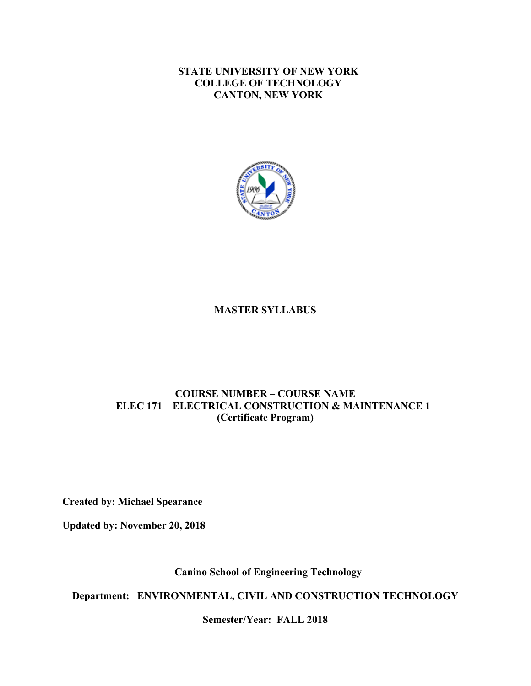**STATE UNIVERSITY OF NEW YORK COLLEGE OF TECHNOLOGY CANTON, NEW YORK**



#### **MASTER SYLLABUS**

#### **COURSE NUMBER – COURSE NAME ELEC 171 – ELECTRICAL CONSTRUCTION & MAINTENANCE 1 (Certificate Program)**

**Created by: Michael Spearance** 

**Updated by: November 20, 2018** 

**Canino School of Engineering Technology** 

 **Department: ENVIRONMENTAL, CIVIL AND CONSTRUCTION TECHNOLOGY** 

 **Semester/Year: FALL 2018**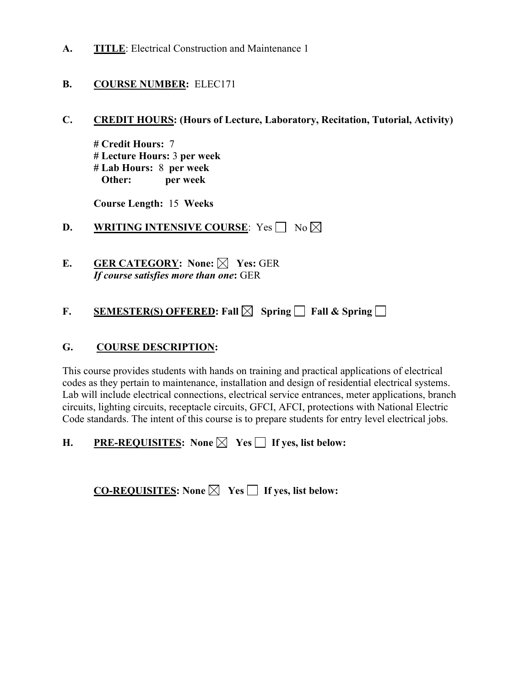**A. TITLE**: Electrical Construction and Maintenance 1

### **B. COURSE NUMBER:** ELEC171

**C. CREDIT HOURS: (Hours of Lecture, Laboratory, Recitation, Tutorial, Activity)**

 **# Lecture Hours:** 3 **per week # Lab Hours:** 8 **per week # Credit Hours:** 7 **Other: per week** 

 **Course Length:** 15 **Weeks** 

**D. WRITING INTENSIVE COURSE**: Yes No

 **E. GER CATEGORY: None: Yes:** GER *If course satisfies more than one***:** GER

# **F. SEMESTER(S) OFFERED:** Fall  $\boxtimes$  Spring **Fall & Spring**

### **G. COURSE DESCRIPTION:**

This course provides students with hands on training and practical applications of electrical codes as they pertain to maintenance, installation and design of residential electrical systems. Lab will include electrical connections, electrical service entrances, meter applications, branch circuits, lighting circuits, receptacle circuits, GFCI, AFCI, protections with National Electric Code standards. The intent of this course is to prepare students for entry level electrical jobs.

**H. PRE-REQUISITES:** None  $\boxtimes$  Yes  $\Box$  If yes, list below:

**CO-REQUISITES:** None  $\boxtimes$  Yes  $\Box$  If yes, list below: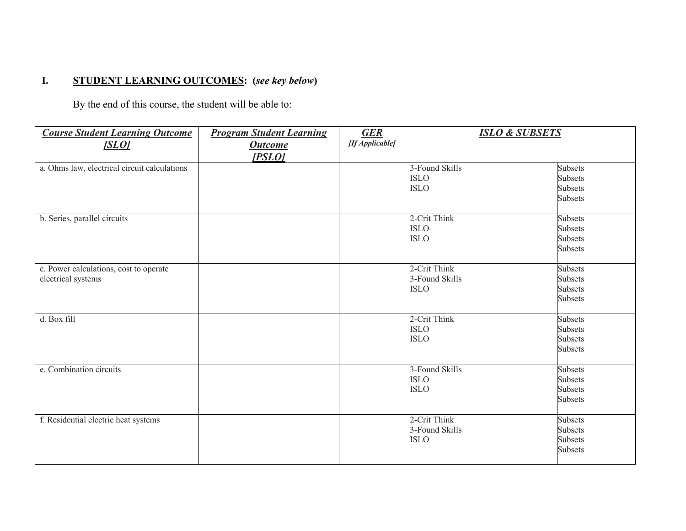# **I. STUDENT LEARNING OUTCOMES: (***see key below***)**

By the end of this course, the student will be able to:

| <b>Course Student Learning Outcome</b><br><b>SLOI</b>        | <b>Program Student Learning</b><br><b>Outcome</b><br>[PSLO] | <b>GER</b><br>[If Applicable] | <b>ISLO &amp; SUBSETS</b>                     |                                                                      |
|--------------------------------------------------------------|-------------------------------------------------------------|-------------------------------|-----------------------------------------------|----------------------------------------------------------------------|
| a. Ohms law, electrical circuit calculations                 |                                                             |                               | 3-Found Skills<br><b>ISLO</b><br><b>ISLO</b>  | <b>Subsets</b><br><b>Subsets</b><br><b>Subsets</b><br><b>Subsets</b> |
| b. Series, parallel circuits                                 |                                                             |                               | 2-Crit Think<br><b>ISLO</b><br><b>ISLO</b>    | <b>Subsets</b><br><b>Subsets</b><br><b>Subsets</b><br>Subsets        |
| c. Power calculations, cost to operate<br>electrical systems |                                                             |                               | 2-Crit Think<br>3-Found Skills<br><b>ISLO</b> | <b>Subsets</b><br><b>Subsets</b><br><b>Subsets</b><br><b>Subsets</b> |
| d. Box fill                                                  |                                                             |                               | 2-Crit Think<br><b>ISLO</b><br><b>ISLO</b>    | Subsets<br><b>Subsets</b><br><b>Subsets</b><br><b>Subsets</b>        |
| e. Combination circuits                                      |                                                             |                               | 3-Found Skills<br><b>ISLO</b><br><b>ISLO</b>  | <b>Subsets</b><br><b>Subsets</b><br><b>Subsets</b><br><b>Subsets</b> |
| f. Residential electric heat systems                         |                                                             |                               | 2-Crit Think<br>3-Found Skills<br><b>ISLO</b> | <b>Subsets</b><br><b>Subsets</b><br><b>Subsets</b><br>Subsets        |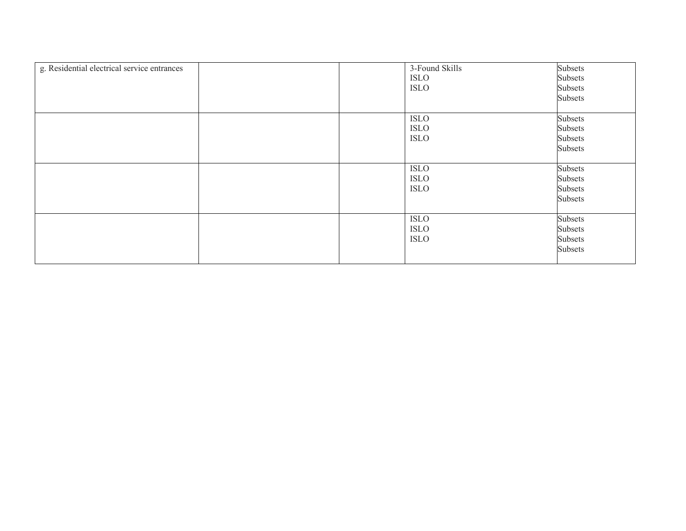| g. Residential electrical service entrances | 3-Found Skills | Subsets |
|---------------------------------------------|----------------|---------|
|                                             | <b>ISLO</b>    | Subsets |
|                                             | <b>ISLO</b>    | Subsets |
|                                             |                | Subsets |
|                                             |                |         |
|                                             | <b>ISLO</b>    | Subsets |
|                                             | <b>ISLO</b>    | Subsets |
|                                             | <b>ISLO</b>    | Subsets |
|                                             |                | Subsets |
|                                             |                |         |
|                                             | <b>ISLO</b>    | Subsets |
|                                             | <b>ISLO</b>    | Subsets |
|                                             | <b>ISLO</b>    | Subsets |
|                                             |                | Subsets |
|                                             |                |         |
|                                             | <b>ISLO</b>    | Subsets |
|                                             | <b>ISLO</b>    | Subsets |
|                                             | <b>ISLO</b>    | Subsets |
|                                             |                | Subsets |
|                                             |                |         |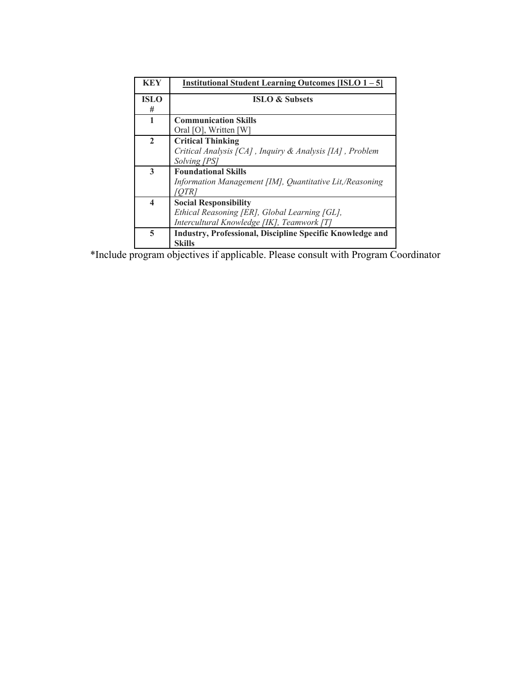| <b>KEY</b>              | <b>Institutional Student Learning Outcomes [ISLO 1-5]</b> |  |  |
|-------------------------|-----------------------------------------------------------|--|--|
| <b>ISLO</b>             | <b>ISLO &amp; Subsets</b>                                 |  |  |
| #                       |                                                           |  |  |
| 1                       | <b>Communication Skills</b>                               |  |  |
|                         | Oral [O], Written [W]                                     |  |  |
| $\overline{2}$          | <b>Critical Thinking</b>                                  |  |  |
|                         | Critical Analysis [CA], Inquiry & Analysis [IA], Problem  |  |  |
|                         | Solving [PS]                                              |  |  |
| 3                       | <b>Foundational Skills</b>                                |  |  |
|                         | Information Management [IM], Quantitative Lit,/Reasoning  |  |  |
|                         |                                                           |  |  |
| $\overline{\mathbf{4}}$ | <b>Social Responsibility</b>                              |  |  |
|                         | Ethical Reasoning [ER], Global Learning [GL],             |  |  |
|                         | Intercultural Knowledge [IK], Teamwork [T]                |  |  |
| 5                       | Industry, Professional, Discipline Specific Knowledge and |  |  |
|                         | <b>Skills</b>                                             |  |  |

\*Include program objectives if applicable. Please consult with Program Coordinator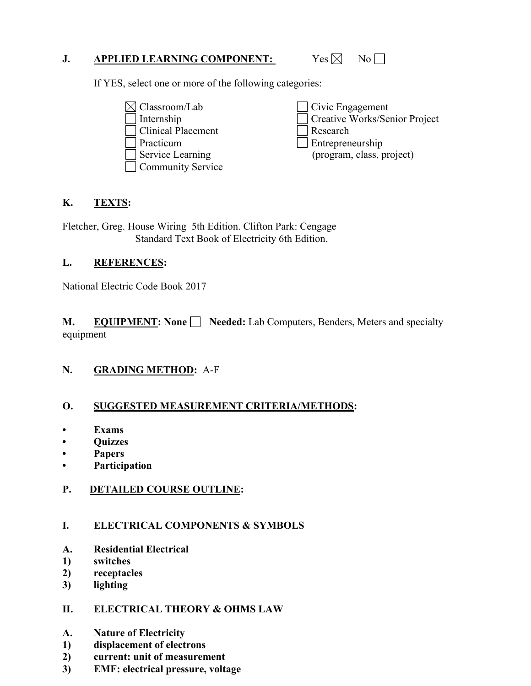### **J. APPLIED LEARNING COMPONENT:** Yes  $\boxtimes$  No

If YES, select one or more of the following categories:

- Internship Practicum Research  $\boxtimes$  Classroom/Lab Clinical Placement Service Learning
- **Community Service**

Civic Engagement Creative Works/Senior Project Entrepreneurship (program, class, project)

# **K. TEXTS:**

Fletcher, Greg. House Wiring 5th Edition. Clifton Park: Cengage Standard Text Book of Electricity 6th Edition.

# **L. REFERENCES:**

National Electric Code Book 2017

**M.** EQUIPMENT: None Seeded: Lab Computers, Benders, Meters and specialty equipment

# **N. GRADING METHOD:** A-F

# **O. SUGGESTED MEASUREMENT CRITERIA/METHODS: • Exams**

- 
- **Quizzes**
- **Papers**
- **Participation**

# **P. DETAILED COURSE OUTLINE:**

# **I. ELECTRICAL COMPONENTS & SYMBOLS**

- **A. Residential Electrical 1) switches**
- 
- **2) receptacles**
- **3) lighting**

### **II. ELECTRICAL THEORY & OHMS LAW**

- **A. Nature of Electricity**
- **1) displacement of electrons**
- **2) current: unit of measurement**
- **3) EMF: electrical pressure, voltage**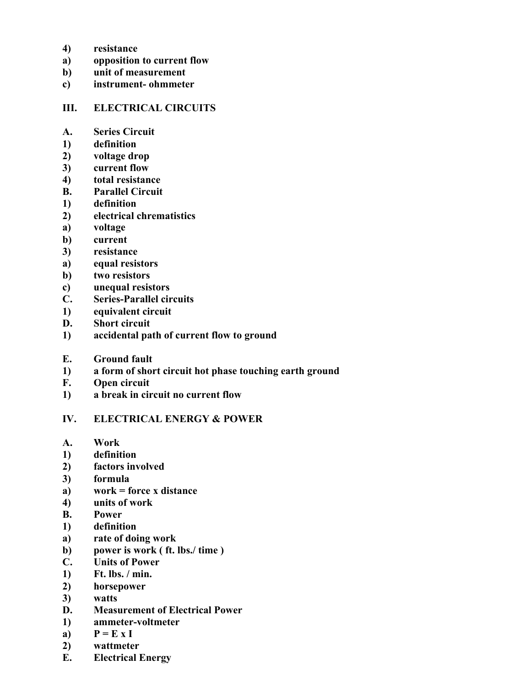- **4) resistance**
- **a) opposition to current flow**
- **b) unit of measurement**
- **c) instrument- ohmmeter**

#### **III. ELECTRICAL CIRCUITS**

- **A. Series Circuit**
- **1) definition**
- **2) voltage drop**
- **3) current flow**
- **4) total resistance**
- **B. Parallel Circuit**
- **1) definition**
- **2) electrical chrematistics**
- **a**) **a) voltage**
- **b) current**
- **3) resistance**
- **a) equal resistors**
- **b) two resistors**
- **c) unequal resistors**
- **C. Series-Parallel circuits**
- **1) equivalent circuit**
- **D. Short circuit**
- **1) accidental path of current flow to ground**
- **E. Ground fault**
- **1) a form of short circuit hot phase touching earth ground**
- **F. Open circuit**
- **1) a break in circuit no current flow**

#### **IV. ELECTRICAL ENERGY & POWER**

- A. **A. Work**
- **1) definition**
- **2) factors involved**
- **3) formula**
- **a) work = force x distance**
- **4) units of work**
- **B. B. Power**
- **1) definition**
- **a) rate of doing work**
- **b) power is work ( ft. lbs./ time )**
- **C. Units of Power**
- **1) Ft. lbs. / min.**
- **2) horsepower**
- $3)$ **3) watts**
- **D. Measurement of Electrical Power**
- **1) ammeter-voltmeter**
- a)  $P = E X I$
- **2) wattmeter**
- **E. Electrical Energy**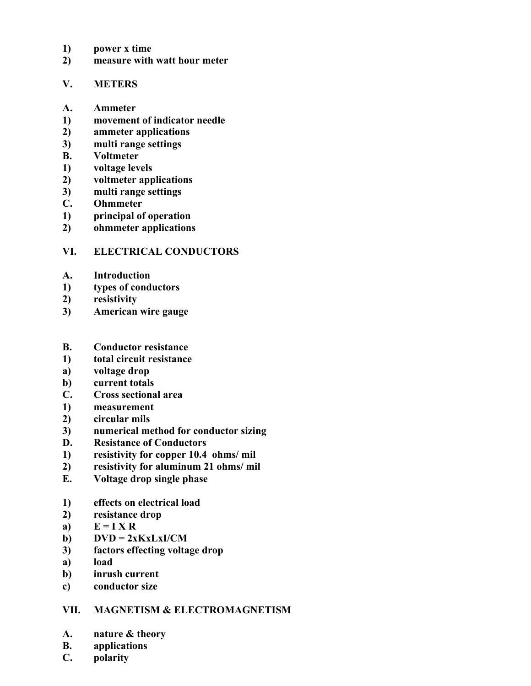- **1) power x time**
- **2) measure with watt hour meter**

#### **V. METERS**

- **A. Ammeter**
- **1) movement of indicator needle**
- **2) ammeter applications**
- **3) multi range settings**
- **B. Voltmeter**
- **1) voltage levels**
- **2) voltmeter applications**
- **3) multi range settings**
- **C. Ohmmeter**
- **1) principal of operation**
- **2) ohmmeter applications**

### **VI. ELECTRICAL CONDUCTORS**

- **A. Introduction**
- **1) types of conductors**
- **2) resistivity**
- **3) American wire gauge**
- **B. Conductor resistance**
- $\bf{1}$ **1) total circuit resistance**
- **a) voltage drop**
- **b) current totals**
- **C. Cross sectional area**
- **1) measurement**
- **2) circular mils**
- **3) numerical method for conductor sizing**
- **D. Resistance of Conductors**
- **1) resistivity for copper 10.4 ohms/ mil**
- **2) resistivity for aluminum 21 ohms/ mil**
- **E. Voltage drop single phase**
- **1) effects on electrical load**
- **2) resistance drop**
- a)  $E = I X R$
- **b)**  $DVD = 2xKxLxI/CM$
- **3) factors effecting voltage drop**
- **a**) load
- **b) inrush current**
- **c) conductor size**

# **VII. MAGNETISM & ELECTROMAGNETISM**

- **A. nature & theory**
- **B. applications**
- **C. polarity**